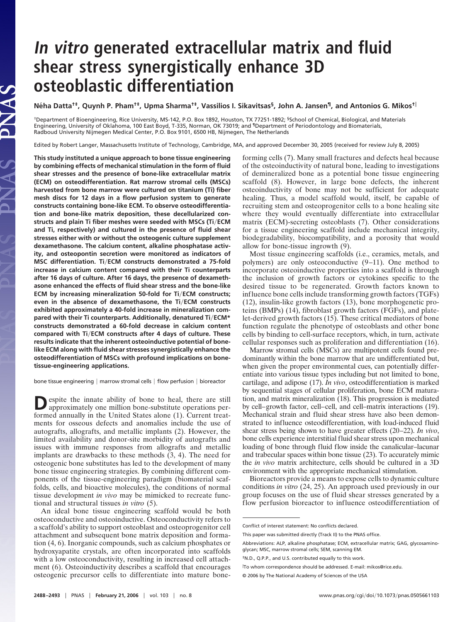## **In vitro generated extracellular matrix and fluid shear stress synergistically enhance 3D osteoblastic differentiation**

**Ne´ha Datta†‡, Quynh P. Pham†‡, Upma Sharma†‡, Vassilios I. Sikavitsas§, John A. Jansen¶, and Antonios G. Mikos†**

†Department of Bioengineering, Rice University, MS-142, P.O. Box 1892, Houston, TX 77251-1892; §School of Chemical, Biological, and Materials Engineering, University of Oklahoma, 100 East Boyd, T-335, Norman, OK 73019; and ¶Department of Periodontology and Biomaterials, Radboud University Nijmegen Medical Center, P.O. Box 9101, 6500 HB, Nijmegen, The Netherlands

Edited by Robert Langer, Massachusetts Institute of Technology, Cambridge, MA, and approved December 30, 2005 (received for review July 8, 2005)

**This study instituted a unique approach to bone tissue engineering by combining effects of mechanical stimulation in the form of fluid shear stresses and the presence of bone-like extracellular matrix (ECM) on osteodifferentiation. Rat marrow stromal cells (MSCs) harvested from bone marrow were cultured on titanium (Ti) fiber mesh discs for 12 days in a flow perfusion system to generate constructs containing bone-like ECM. To observe osteodifferentiation and bone-like matrix deposition, these decellularized constructs and plain Ti fiber meshes were seeded with MSCs (Ti**-**ECM and Ti, respectively) and cultured in the presence of fluid shear stresses either with or without the osteogenic culture supplement dexamethasone. The calcium content, alkaline phosphatase activity, and osteopontin secretion were monitored as indicators of** MSC differentiation. Ti/ECM constructs demonstrated a 75-fold **increase in calcium content compared with their Ti counterparts after 16 days of culture. After 16 days, the presence of dexamethasone enhanced the effects of fluid shear stress and the bone-like ECM by increasing mineralization 50-fold for Ti**-**ECM constructs; even in the absence of dexamethasone, the Ti**-**ECM constructs exhibited approximately a 40-fold increase in mineralization compared with their Ti counterparts. Additionally, denatured Ti**-**ECM\* constructs demonstrated a 60-fold decrease in calcium content compared with Ti**-**ECM constructs after 4 days of culture. These results indicate that the inherent osteoinductive potential of bonelike ECM along with fluid shear stresses synergistically enhance the osteodifferentiation of MSCs with profound implications on bonetissue-engineering applications.**

bone tissue engineering | marrow stromal cells | flow perfusion | bioreactor

**D**espite the innate ability of bone to heal, there are still approximately one million bone-substitute operations performed annually in the United States alone (1). Current treatments for osseous defects and anomalies include the use of autografts, allografts, and metallic implants (2). However, the limited availability and donor-site morbidity of autografts and issues with immune responses from allografts and metallic implants are drawbacks to these methods (3, 4). The need for osteogenic bone substitutes has led to the development of many bone tissue engineering strategies. By combining different components of the tissue-engineering paradigm (biomaterial scaffolds, cells, and bioactive molecules), the conditions of normal tissue development *in vivo* may be mimicked to recreate functional and structural tissues *in vitro* (5).

An ideal bone tissue engineering scaffold would be both osteoconductive and osteoinductive. Osteoconductivity refers to a scaffold's ability to support osteoblast and osteoprogenitor cell attachment and subsequent bone matrix deposition and formation (4, 6). Inorganic compounds, such as calcium phosphates or hydroxyapatite crystals, are often incorporated into scaffolds with a low osteoconductivity, resulting in increased cell attachment (6). Osteoinductivity describes a scaffold that encourages osteogenic precursor cells to differentiate into mature boneforming cells (7). Many small fractures and defects heal because of the osteoinductivity of natural bone, leading to investigations of demineralized bone as a potential bone tissue engineering scaffold (8). However, in large bone defects, the inherent osteoinductivity of bone may not be sufficient for adequate healing. Thus, a model scaffold would, itself, be capable of recruiting stem and osteoprogenitor cells to a bone healing site where they would eventually differentiate into extracellular matrix (ECM)-secreting osteoblasts (7). Other considerations for a tissue engineering scaffold include mechanical integrity, biodegradability, biocompatibility, and a porosity that would allow for bone-tissue ingrowth (9).

Most tissue engineering scaffolds (i.e., ceramics, metals, and polymers) are only osteoconductive (9–11). One method to incorporate osteoinductive properties into a scaffold is through the inclusion of growth factors or cytokines specific to the desired tissue to be regenerated. Growth factors known to influence bone cells include transforming growth factors (TGFs) (12), insulin-like growth factors (13), bone morphogenetic proteins (BMPs) (14), fibroblast growth factors (FGFs), and platelet-derived growth factors (15). These critical mediators of bone function regulate the phenotype of osteoblasts and other bone cells by binding to cell-surface receptors, which, in turn, activate cellular responses such as proliferation and differentiation (16).

Marrow stromal cells (MSCs) are multipotent cells found predominantly within the bone marrow that are undifferentiated but, when given the proper environmental cues, can potentially differentiate into various tissue types including but not limited to bone, cartilage, and adipose (17). *In vivo*, osteodifferentiation is marked by sequential stages of cellular proliferation, bone ECM maturation, and matrix mineralization (18). This progression is mediated by cell–growth factor, cell–cell, and cell–matrix interactions (19). Mechanical strain and fluid shear stress have also been demonstrated to influence osteodifferentiation, with load-induced fluid shear stress being shown to have greater effects (20–22). *In vivo*, bone cells experience interstitial fluid shear stress upon mechanical loading of bone through fluid flow inside the canalicular–lacunar and trabecular spaces within bone tissue (23). To accurately mimic the *in vivo* matrix architecture, cells should be cultured in a 3D environment with the appropriate mechanical stimulation.

Bioreactors provide a means to expose cells to dynamic culture conditions *in vitro* (24, 25). An approach used previously in our group focuses on the use of fluid shear stresses generated by a flow perfusion bioreactor to influence osteodifferentiation of

Conflict of interest statement: No conflicts declared.

This paper was submitted directly (Track II) to the PNAS office.

Abbreviations: ALP, alkaline phosphatase; ECM, extracellular matrix; GAG, glycosaminoglycan; MSC, marrow stromal cells; SEM, scanning EM.

<sup>‡</sup>N.D., Q.P.P., and U.S. contributed equally to this work.

To whom correspondence should be addressed. E-mail: mikos@rice.edu.

<sup>© 2006</sup> by The National Academy of Sciences of the USA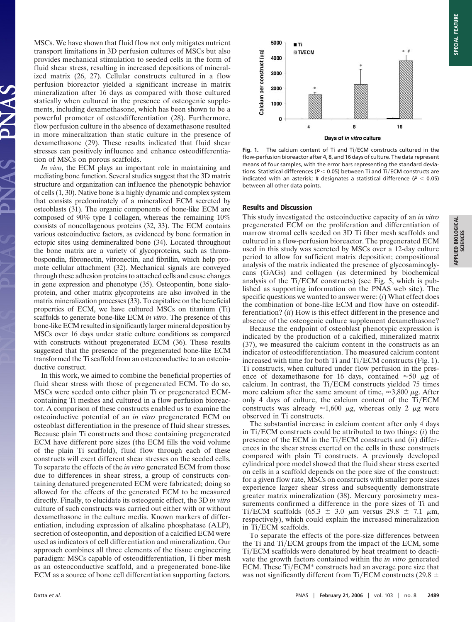MSCs. We have shown that fluid flow not only mitigates nutrient transport limitations in 3D perfusion cultures of MSCs but also provides mechanical stimulation to seeded cells in the form of fluid shear stress, resulting in increased depositions of mineralized matrix (26, 27). Cellular constructs cultured in a flow perfusion bioreactor yielded a significant increase in matrix mineralization after 16 days as compared with those cultured statically when cultured in the presence of osteogenic supplements, including dexamethasone, which has been shown to be a powerful promoter of osteodifferentiation (28). Furthermore, flow perfusion culture in the absence of dexamethasone resulted in more mineralization than static culture in the presence of dexamethasone (29). These results indicated that fluid shear stresses can positively influence and enhance osteodifferentiation of MSCs on porous scaffolds.

*In vivo*, the ECM plays an important role in maintaining and mediating bone function. Several studies suggest that the 3D matrix structure and organization can influence the phenotypic behavior of cells (1, 30). Native bone is a highly dynamic and complex system that consists predominately of a mineralized ECM secreted by osteoblasts (31). The organic components of bone-like ECM are composed of 90% type I collagen, whereas the remaining 10% consists of noncollagenous proteins (32, 33). The ECM contains various osteoinductive factors, as evidenced by bone formation in ectopic sites using demineralized bone (34). Located throughout the bone matrix are a variety of glycoproteins, such as thrombospondin, fibronectin, vitronectin, and fibrillin, which help promote cellular attachment (32). Mechanical signals are conveyed through these adhesion proteins to attached cells and cause changes in gene expression and phenotype (35). Osteopontin, bone sialoprotein, and other matrix glycoproteins are also involved in the matrix mineralization processes (33). To capitalize on the beneficial properties of ECM, we have cultured MSCs on titanium (Ti) scaffolds to generate bone-like ECM *in vitro*. The presence of this bone-like ECM resulted in significantly larger mineral deposition by MSCs over 16 days under static culture conditions as compared with constructs without pregenerated ECM (36). These results suggested that the presence of the pregenerated bone-like ECM transformed the Ti scaffold from an osteoconductive to an osteoinductive construct.

In this work, we aimed to combine the beneficial properties of fluid shear stress with those of pregenerated ECM. To do so, MSCs were seeded onto either plain Ti or pregenerated ECMcontaining Ti meshes and cultured in a flow perfusion bioreactor. A comparison of these constructs enabled us to examine the osteoinductive potential of an *in vitro* pregenerated ECM on osteoblast differentiation in the presence of fluid shear stresses. Because plain Ti constructs and those containing pregenerated ECM have different pore sizes (the ECM fills the void volume of the plain Ti scaffold), fluid flow through each of these constructs will exert different shear stresses on the seeded cells. To separate the effects of the *in vitro* generated ECM from those due to differences in shear stress, a group of constructs containing denatured pregenerated ECM were fabricated; doing so allowed for the effects of the generated ECM to be measured directly. Finally, to elucidate its osteogenic effect, the 3D *in vitro* culture of such constructs was carried out either with or without dexamethasone in the culture media. Known markers of differentiation, including expression of alkaline phosphatase (ALP), secretion of osteopontin, and deposition of a calcified ECM were used as indicators of cell differentiation and mineralization. Our approach combines all three elements of the tissue engineering paradigm: MSCs capable of osteodifferentiation, Ti fiber mesh as an osteoconductive scaffold, and a pregenerated bone-like ECM as a source of bone cell differentiation supporting factors.



Fig. 1. The calcium content of Ti and Ti/ECM constructs cultured in the flow-perfusion bioreactor after 4, 8, and 16 days of culture. The data represent means of four samples, with the error bars representing the standard deviations. Statistical differences ( $P < 0.05$ ) between Ti and Ti/ECM constructs are indicated with an asterisk; # designates a statistical difference  $(P < 0.05)$ between all other data points.

## **Results and Discussion**

This study investigated the osteoinductive capacity of an *in vitro* pregenerated ECM on the proliferation and differentiation of marrow stromal cells seeded on 3D Ti fiber mesh scaffolds and cultured in a flow-perfusion bioreactor. The pregenerated ECM used in this study was secreted by MSCs over a 12-day culture period to allow for sufficient matrix deposition; compositional analysis of the matrix indicated the presence of glycosaminoglycans (GAGs) and collagen (as determined by biochemical analysis of the Ti/ECM constructs) (see Fig. 5, which is published as supporting information on the PNAS web site). The specific questions we wanted to answer were: (*i*) What effect does the combination of bone-like ECM and flow have on osteodifferentiation? (*ii*) How is this effect different in the presence and absence of the osteogenic culture supplement dexamethasone?

Because the endpoint of osteoblast phenotypic expression is indicated by the production of a calcified, mineralized matrix (37), we measured the calcium content in the constructs as an indicator of osteodifferentiation. The measured calcium content increased with time for both Ti and Ti/ECM constructs (Fig. 1). Ti constructs, when cultured under flow perfusion in the presence of dexamethasone for 16 days, contained  $\approx 50 \mu g$  of calcium. In contrast, the Ti/ECM constructs yielded 75 times more calcium after the same amount of time,  $\approx 3,800 \mu$ g. After only 4 days of culture, the calcium content of the  $Ti/ECM$ constructs was already  $\approx 1,600 \mu$ g, whereas only 2  $\mu$ g were observed in Ti constructs.

The substantial increase in calcium content after only 4 days in Ti/ECM constructs could be attributed to two things: (*i*) the presence of the ECM in the Ti/ECM constructs and (*ii*) differences in the shear stress exerted on the cells in these constructs compared with plain Ti constructs. A previously developed cylindrical pore model showed that the fluid shear stress exerted on cells in a scaffold depends on the pore size of the construct: for a given flow rate, MSCs on constructs with smaller pore sizes experience larger shear stress and subsequently demonstrate greater matrix mineralization (38). Mercury porosimetry measurements confirmed a difference in the pore sizes of Ti and Ti/ECM scaffolds  $(65.3 \pm 3.0 \mu m$  versus  $29.8 \pm 7.1 \mu m$ , respectively), which could explain the increased mineralization in Ti/ECM scaffolds.

To separate the effects of the pore-size differences between the Ti and Ti/ECM groups from the impact of the ECM, some Ti/ECM scaffolds were denatured by heat treatment to deactivate the growth factors contained within the *in vitro* generated ECM. These Ti/ECM\* constructs had an average pore size that was not significantly different from Ti/ECM constructs (29.8  $\pm$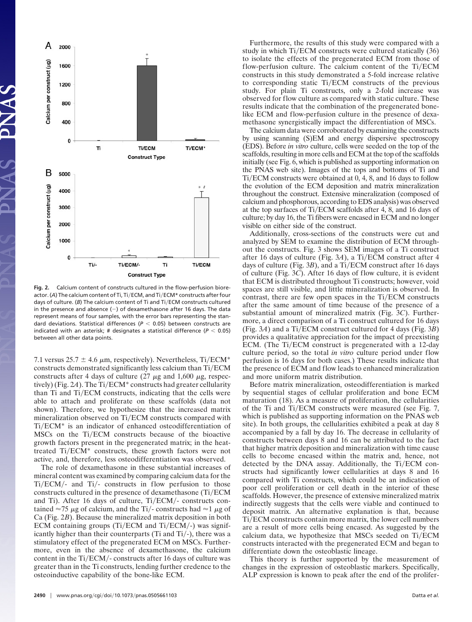

**Fig. 2.** Calcium content of constructs cultured in the flow-perfusion bioreactor. (A) The calcium content of Ti, Ti/ECM, and Ti/ECM\* constructs after four days of culture. (B) The calcium content of Ti and Ti/ECM constructs cultured in the presence and absence  $(-)$  of dexamethasone after 16 days. The data represent means of four samples, with the error bars representing the standard deviations. Statistical differences ( $P < 0.05$ ) between constructs are indicated with an asterisk; # designates a statistical difference ( $P < 0.05$ ) between all other data points.

7.1 versus  $25.7 \pm 4.6 \mu m$ , respectively). Nevertheless, Ti/ECM\* constructs demonstrated significantly less calcium than Ti/ECM constructs after 4 days of culture  $(27 \mu g)$  and  $1,600 \mu g$ , respectively) (Fig. 2*A*). The Ti/ECM<sup>\*</sup> constructs had greater cellularity than Ti and Ti/ECM constructs, indicating that the cells were able to attach and proliferate on these scaffolds (data not shown). Therefore, we hypothesize that the increased matrix mineralization observed on Ti/ECM constructs compared with Ti/ECM<sup>\*</sup> is an indicator of enhanced osteodifferentiation of MSCs on the Ti/ECM constructs because of the bioactive growth factors present in the pregenerated matrix; in the heattreated Ti/ECM\* constructs, these growth factors were not active, and, therefore, less osteodifferentiation was observed.

The role of dexamethasone in these substantial increases of mineral content was examined by comparing calcium data for the Ti/ECM/- and Ti/- constructs in flow perfusion to those constructs cultured in the presence of dexamethasone (Ti/ECM and Ti). After 16 days of culture, Ti/ECM/- constructs contained  $\approx$  75  $\mu$ g of calcium, and the Ti/- constructs had  $\approx$  1  $\mu$ g of Ca (Fig. 2*B*). Because the mineralized matrix deposition in both ECM containing groups (Ti/ECM and Ti/ECM/-) was significantly higher than their counterparts (Ti and Ti/-), there was a stimulatory effect of the pregenerated ECM on MSCs. Furthermore, even in the absence of dexamethasone, the calcium content in the Ti/ECM/- constructs after 16 days of culture was greater than in the Ti constructs, lending further credence to the osteoinductive capability of the bone-like ECM.

Furthermore, the results of this study were compared with a study in which Ti/ECM constructs were cultured statically (36) to isolate the effects of the pregenerated ECM from those of flow-perfusion culture. The calcium content of the Ti/ECM constructs in this study demonstrated a 5-fold increase relative to corresponding static Ti/ECM constructs of the previous study. For plain Ti constructs, only a 2-fold increase was observed for flow culture as compared with static culture. These results indicate that the combination of the pregenerated bonelike ECM and flow-perfusion culture in the presence of dexamethasone synergistically impact the differentiation of MSCs.

The calcium data were corroborated by examining the constructs by using scanning (S)EM and energy dispersive spectroscopy (EDS). Before *in vitro* culture, cells were seeded on the top of the scaffolds, resulting in more cells and ECM at the top of the scaffolds initially (see Fig. 6, which is published as supporting information on the PNAS web site). Images of the tops and bottoms of Ti and Ti/ECM constructs were obtained at 0, 4, 8, and 16 days to follow the evolution of the ECM deposition and matrix mineralization throughout the construct. Extensive mineralization (composed of calcium and phosphorous, according to EDS analysis) was observed at the top surfaces of Ti/ECM scaffolds after 4, 8, and 16 days of culture; by day 16, the Ti fibers were encased in ECM and no longer visible on either side of the construct.

Additionally, cross-sections of the constructs were cut and analyzed by SEM to examine the distribution of ECM throughout the constructs. Fig. 3 shows SEM images of a Ti construct after 16 days of culture (Fig. 3A), a Ti/ECM construct after 4 days of culture (Fig. 3B), and a Ti/ECM construct after 16 days of culture (Fig. 3*C*). After 16 days of flow culture, it is evident that ECM is distributed throughout Ti constructs; however, void spaces are still visible, and little mineralization is observed. In contrast, there are few open spaces in the Ti/ECM constructs after the same amount of time because of the presence of a substantial amount of mineralized matrix (Fig. 3*C*). Furthermore, a direct comparison of a Ti construct cultured for 16 days  $(Fig. 3A)$  and a Ti/ECM construct cultured for 4 days  $(Fig. 3B)$ provides a qualitative appreciation for the impact of preexisting ECM. (The Ti/ECM construct is pregenerated with a 12-day culture period, so the total *in vitro* culture period under flow perfusion is 16 days for both cases.) These results indicate that the presence of ECM and flow leads to enhanced mineralization and more uniform matrix distribution.

Before matrix mineralization, osteodifferentiation is marked by sequential stages of cellular proliferation and bone ECM maturation (18). As a measure of proliferation, the cellularities of the Ti and Ti/ECM constructs were measured (see Fig. 7, which is published as supporting information on the PNAS web site). In both groups, the cellularities exhibited a peak at day 8 accompanied by a fall by day 16. The decrease in cellularity of constructs between days 8 and 16 can be attributed to the fact that higher matrix deposition and mineralization with time cause cells to become encased within the matrix and, hence, not detected by the DNA assay. Additionally, the Ti/ECM constructs had significantly lower cellularities at days 8 and 16 compared with Ti constructs, which could be an indication of poor cell proliferation or cell death in the interior of these scaffolds. However, the presence of extensive mineralized matrix indirectly suggests that the cells were viable and continued to deposit matrix. An alternative explanation is that, because Ti/ECM constructs contain more matrix, the lower cell numbers are a result of more cells being encased. As suggested by the calcium data, we hypothesize that MSCs seeded on Ti/ECM constructs interacted with the pregenerated ECM and began to differentiate down the osteoblastic lineage.

This theory is further supported by the measurement of changes in the expression of osteoblastic markers. Specifically, ALP expression is known to peak after the end of the prolifer-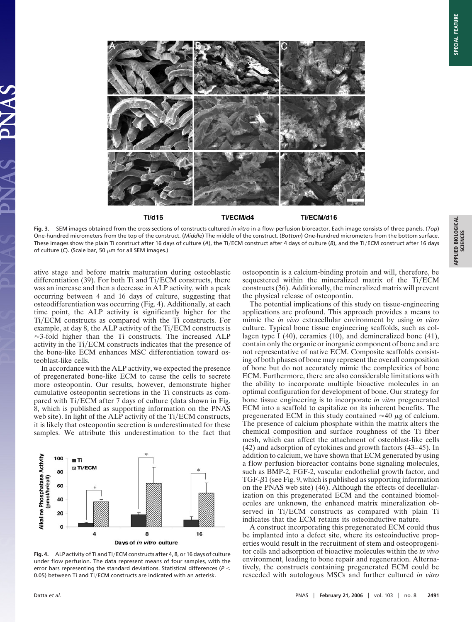

**Fig. 3.** SEM images obtained from the cross-sections of constructs cultured *in vitro* in a flow-perfusion bioreactor. Each image consists of three panels. (*Top*) One-hundred micrometers from the top of the construct. (*Middle*) The middle of the construct. (*Bottom*) One-hundred micrometers from the bottom surface. These images show the plain Ti construct after 16 days of culture (A), the Ti/ECM construct after 4 days of culture (B), and the Ti/ECM construct after 16 days of culture (C). (Scale bar, 50  $\mu$ m for all SEM images.)

ative stage and before matrix maturation during osteoblastic differentiation  $(39)$ . For both Ti and Ti/ECM constructs, there was an increase and then a decrease in ALP activity, with a peak occurring between 4 and 16 days of culture, suggesting that osteodifferentiation was occurring (Fig. 4). Additionally, at each time point, the ALP activity is significantly higher for the Ti/ECM constructs as compared with the Ti constructs. For example, at day 8, the ALP activity of the Ti/ECM constructs is  $\approx$ 3-fold higher than the Ti constructs. The increased ALP activity in the Ti/ECM constructs indicates that the presence of the bone-like ECM enhances MSC differentiation toward osteoblast-like cells.

In accordance with the ALP activity, we expected the presence of pregenerated bone-like ECM to cause the cells to secrete more osteopontin. Our results, however, demonstrate higher cumulative osteopontin secretions in the Ti constructs as compared with Ti/ECM after 7 days of culture (data shown in Fig. 8, which is published as supporting information on the PNAS web site). In light of the ALP activity of the Ti/ECM constructs, it is likely that osteopontin secretion is underestimated for these samples. We attribute this underestimation to the fact that



Fig. 4. ALP activity of Ti and Ti/ECM constructs after 4, 8, or 16 days of culture under flow perfusion. The data represent means of four samples, with the error bars representing the standard deviations. Statistical differences (*P* 0.05) between Ti and Ti/ECM constructs are indicated with an asterisk.

osteopontin is a calcium-binding protein and will, therefore, be sequestered within the mineralized matrix of the Ti/ECM constructs (36). Additionally, the mineralized matrix will prevent the physical release of osteopontin.

The potential implications of this study on tissue-engineering applications are profound. This approach provides a means to mimic the *in vivo* extracellular environment by using *in vitro* culture. Typical bone tissue engineering scaffolds, such as collagen type I (40), ceramics (10), and demineralized bone (41), contain only the organic or inorganic component of bone and are not representative of native ECM. Composite scaffolds consisting of both phases of bone may represent the overall composition of bone but do not accurately mimic the complexities of bone ECM. Furthermore, there are also considerable limitations with the ability to incorporate multiple bioactive molecules in an optimal configuration for development of bone. Our strategy for bone tissue engineering is to incorporate *in vitro* pregenerated ECM into a scaffold to capitalize on its inherent benefits. The pregenerated ECM in this study contained  $\approx 40 \mu$ g of calcium. The presence of calcium phosphate within the matrix alters the chemical composition and surface roughness of the Ti fiber mesh, which can affect the attachment of osteoblast-like cells (42) and adsorption of cytokines and growth factors (43–45). In addition to calcium, we have shown that ECM generated by using a flow perfusion bioreactor contains bone signaling molecules, such as BMP-2, FGF-2, vascular endothelial growth factor, and  $TGF- $\beta$ 1 (see Fig. 9, which is published as supporting information$ on the PNAS web site) (46). Although the effects of decellularization on this pregenerated ECM and the contained biomolecules are unknown, the enhanced matrix mineralization observed in Ti/ECM constructs as compared with plain Ti indicates that the ECM retains its osteoinductive nature.

A construct incorporating this pregenerated ECM could thus be implanted into a defect site, where its osteoinductive properties would result in the recruitment of stem and osteoprogenitor cells and adsorption of bioactive molecules within the *in vivo* environment, leading to bone repair and regeneration. Alternatively, the constructs containing pregenerated ECM could be reseeded with autologous MSCs and further cultured *in vitro*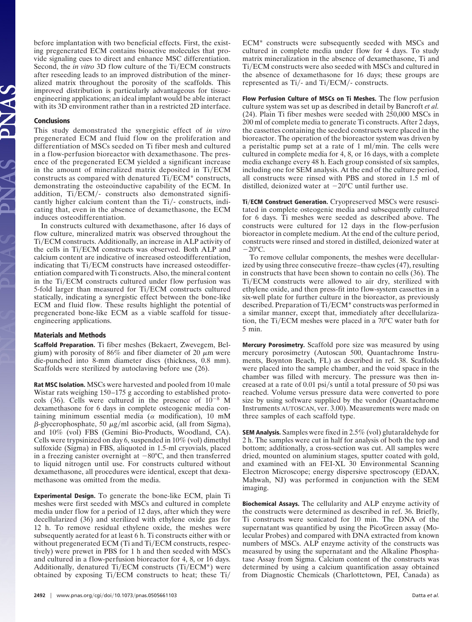before implantation with two beneficial effects. First, the existing pregenerated ECM contains bioactive molecules that provide signaling cues to direct and enhance MSC differentiation. Second, the *in vitro* 3D flow culture of the Ti/ECM constructs after reseeding leads to an improved distribution of the mineralized matrix throughout the porosity of the scaffolds. This improved distribution is particularly advantageous for tissueengineering applications; an ideal implant would be able interact with its 3D environment rather than in a restricted 2D interface.

## **Conclusions**

This study demonstrated the synergistic effect of *in vitro* pregenerated ECM and fluid flow on the proliferation and differentiation of MSCs seeded on Ti fiber mesh and cultured in a flow-perfusion bioreactor with dexamethasone. The presence of the pregenerated ECM yielded a significant increase in the amount of mineralized matrix deposited in Ti/ECM constructs as compared with denatured  $Ti/ECM^*$  constructs, demonstrating the osteoinductive capability of the ECM. In addition, Ti/ECM/- constructs also demonstrated significantly higher calcium content than the Ti/- constructs, indicating that, even in the absence of dexamethasone, the ECM induces osteodifferentiation.

In constructs cultured with dexamethasone, after 16 days of flow culture, mineralized matrix was observed throughout the Ti/ECM constructs. Additionally, an increase in ALP activity of the cells in Ti/ECM constructs was observed. Both ALP and calcium content are indicative of increased osteodifferentiation, indicating that Ti/ECM constructs have increased osteodifferentiation compared with Ti constructs. Also, the mineral content in the Ti/ECM constructs cultured under flow perfusion was 5-fold larger than measured for Ti/ECM constructs cultured statically, indicating a synergistic effect between the bone-like ECM and fluid flow. These results highlight the potential of pregenerated bone-like ECM as a viable scaffold for tissueengineering applications.

## **Materials and Methods**

**Scaffold Preparation.** Ti fiber meshes (Bekaert, Zwevegem, Belgium) with porosity of 86% and fiber diameter of 20  $\mu$ m were die-punched into 8-mm diameter discs (thickness, 0.8 mm). Scaffolds were sterilized by autoclaving before use (26).

**Rat MSC Isolation.** MSCs were harvested and pooled from 10 male Wistar rats weighing 150–175 g according to established protocols (36). Cells were cultured in the presence of  $10^{-8}$  M dexamethasone for 6 days in complete osteogenic media containing minimum essential media ( $\alpha$  modification), 10 mM  $\beta$ -glycerophosphate, 50  $\mu$ g/ml ascorbic acid, (all from Sigma), and 10% (vol) FBS (Gemini Bio-Products, Woodland, CA). Cells were trypsinized on day 6, suspended in 10% (vol) dimethyl sulfoxide (Sigma) in FBS, aliquoted in 1.5-ml cryovials, placed in a freezing canister overnight at  $-80^{\circ}$ C, and then transferred to liquid nitrogen until use. For constructs cultured without dexamethasone, all procedures were identical, except that dexamethasone was omitted from the media.

**Experimental Design.** To generate the bone-like ECM, plain Ti meshes were first seeded with MSCs and cultured in complete media under flow for a period of 12 days, after which they were decellularized (36) and sterilized with ethylene oxide gas for 12 h. To remove residual ethylene oxide, the meshes were subsequently aerated for at least 6 h. Ti constructs either with or without pregenerated ECM (Ti and Ti/ECM constructs, respectively) were prewet in PBS for 1 h and then seeded with MSCs and cultured in a flow-perfusion bioreactor for 4, 8, or 16 days. Additionally, denatured Ti/ECM constructs (Ti/ECM\*) were obtained by exposing  $Ti/ECM$  constructs to heat; these  $Ti/$ 

ECM\* constructs were subsequently seeded with MSCs and cultured in complete media under flow for 4 days. To study matrix mineralization in the absence of dexamethasone, Ti and Ti/ECM constructs were also seeded with MSCs and cultured in the absence of dexamethasone for 16 days; these groups are represented as  $Ti/-$  and  $Ti/ECM/-$  constructs.

**Flow Perfusion Culture of MSCs on Ti Meshes.** The flow perfusion culture system was set up as described in detail by Bancroft *et al.* (24). Plain Ti fiber meshes were seeded with 250,000 MSCs in 200 ml of complete media to generate Ti constructs. After 2 days, the cassettes containing the seeded constructs were placed in the bioreactor. The operation of the bioreactor system was driven by a peristaltic pump set at a rate of 1 ml/min. The cells were cultured in complete media for 4, 8, or 16 days, with a complete media exchange every 48 h. Each group consisted of six samples, including one for SEM analysis. At the end of the culture period, all constructs were rinsed with PBS and stored in 1.5 ml of distilled, deionized water at  $-20^{\circ}$ C until further use.

**Ti**-**ECM Construct Generation.** Cryopreserved MSCs were resuscitated in complete osteogenic media and subsequently cultured for 6 days. Ti meshes were seeded as described above. The constructs were cultured for 12 days in the flow-perfusion bioreactor in complete medium. At the end of the culture period, constructs were rinsed and stored in distilled, deionized water at  $-20^{\circ}$ C.

To remove cellular components, the meshes were decellularized by using three consecutive freeze–thaw cycles (47), resulting in constructs that have been shown to contain no cells (36). The Ti/ECM constructs were allowed to air dry, sterilized with ethylene oxide, and then press-fit into flow-system cassettes in a six-well plate for further culture in the bioreactor, as previously described. Preparation of Ti/ECM\* constructs was performed in a similar manner, except that, immediately after decellularization, the Ti/ECM meshes were placed in a 70°C water bath for 5 min.

**Mercury Porosimetry.** Scaffold pore size was measured by using mercury porosimetry (Autoscan 500, Quantachrome Instruments, Boynton Beach, FL) as described in ref. 38. Scaffolds were placed into the sample chamber, and the void space in the chamber was filled with mercury. The pressure was then increased at a rate of 0.01 psi/s until a total pressure of 50 psi was reached. Volume versus pressure data were converted to pore size by using software supplied by the vendor (Quantachrome Instruments AUTOSCAN, ver. 3.00). Measurements were made on three samples of each scaffold type.

**SEM Analysis.** Samples were fixed in 2.5% (vol) glutaraldehyde for 2 h. The samples were cut in half for analysis of both the top and bottom; additionally, a cross-section was cut. All samples were dried, mounted on aluminium stages, sputter coated with gold, and examined with an FEI-XL 30 Environmental Scanning Electron Microscope; energy dispersive spectroscopy (EDAX, Mahwah, NJ) was performed in conjunction with the SEM imaging.

**Biochemical Assays.** The cellularity and ALP enzyme activity of the constructs were determined as described in ref. 36. Briefly, Ti constructs were sonicated for 10 min. The DNA of the supernatant was quantified by using the PicoGreen assay (Molecular Probes) and compared with DNA extracted from known numbers of MSCs. ALP enzyme activity of the constructs was measured by using the supernatant and the Alkaline Phosphatase Assay from Sigma. Calcium content of the constructs was determined by using a calcium quantification assay obtained from Diagnostic Chemicals (Charlottetown, PEI, Canada) as